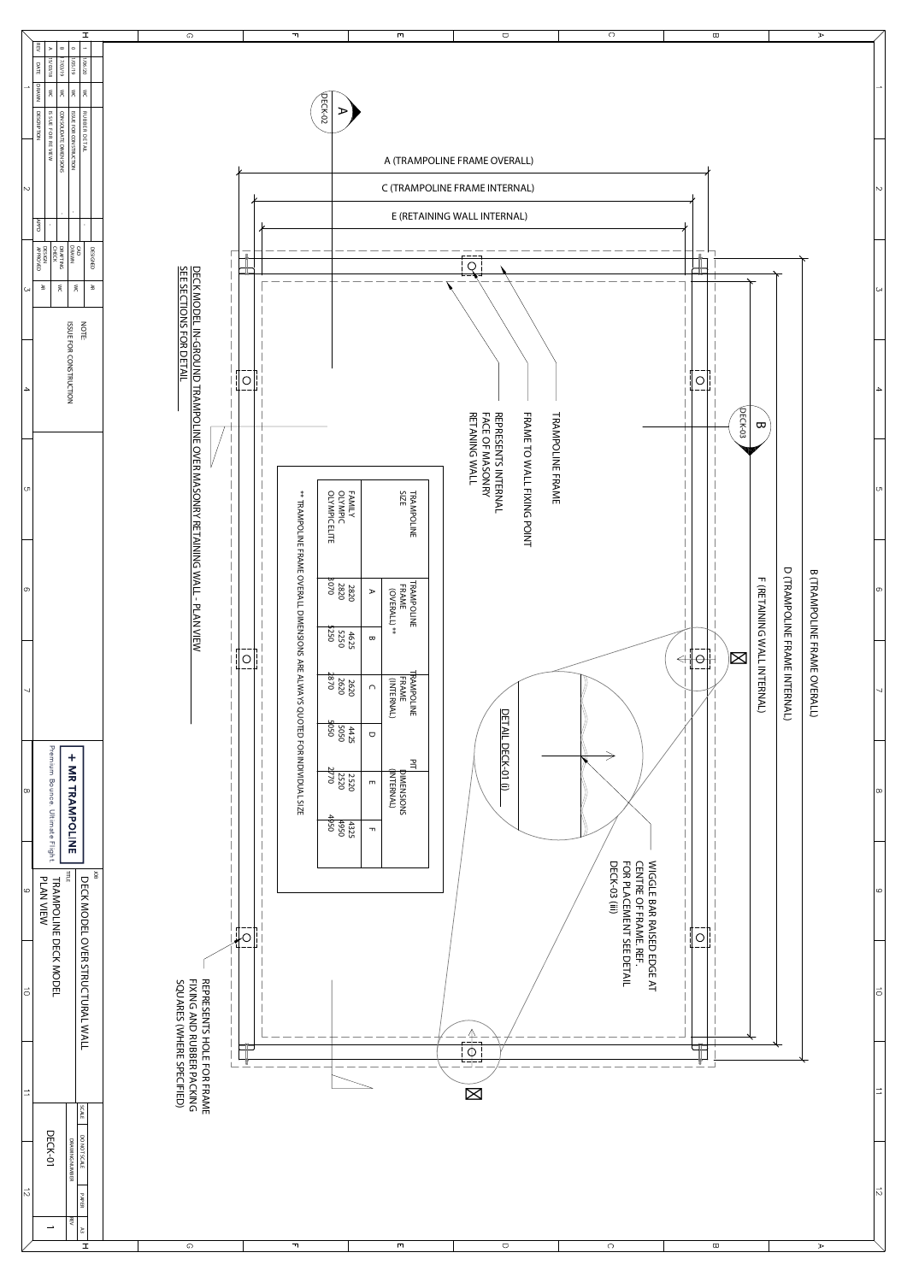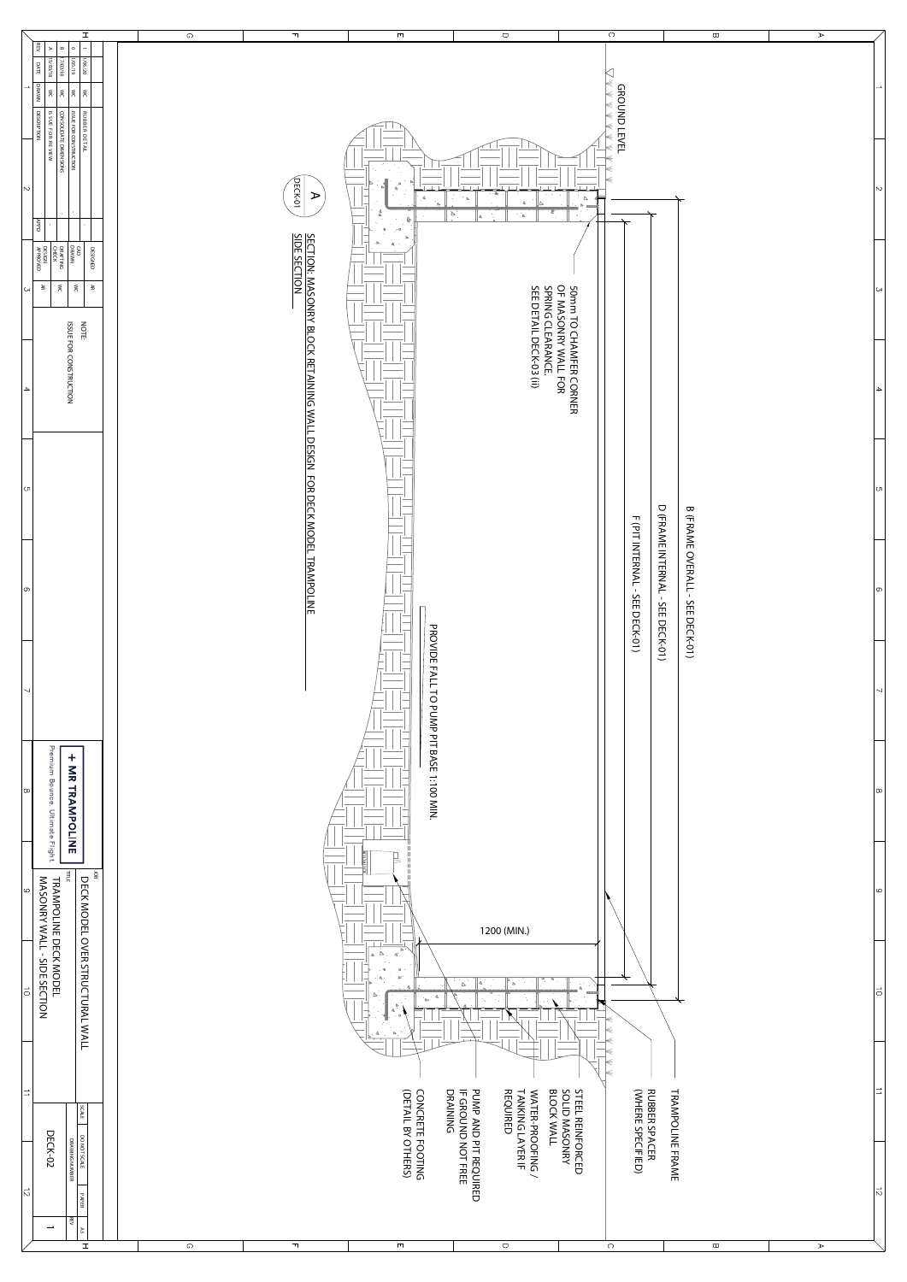| MODEL<br>IDE SECTION<br>15 | <b>STRUC</b><br>TURAL.<br><b>WALL</b>         |         |              | $-70$<br>$\circ$<br>$^{\circ}$ $\Delta$ .<br>$\triangleright$ "<br>▵<br>$\cdot$ 4<br>`Ar<br>$\Delta$<br>4<br>$\triangleright$ | $\Delta$<br>Δ<br>$\triangleright$                                     | ю<br>K<br>k                                                                     |                         |                       | lo            |
|----------------------------|-----------------------------------------------|---------|--------------|-------------------------------------------------------------------------------------------------------------------------------|-----------------------------------------------------------------------|---------------------------------------------------------------------------------|-------------------------|-----------------------|---------------|
| $\rightarrow$              | l g<br>۱ř                                     |         |              | <b>CONCRETE FOOTING</b><br>(DETAIL BY OTHERS)                                                                                 | WATER-PROOFING /<br>TANKING LAYER IF<br>REQUIRED<br><b>BLOCK WALL</b> | STEEL REINFORCED<br>SOLID MASONRY<br><b>RUBBER SPACER<br/>(WHERE SPECIFIED)</b> | <b>TRAMPOLINE FRAME</b> |                       | $\rightarrow$ |
| DECK-02<br>lN.             | DO NOT SCALE<br>DRAWING NUMBER<br><b>PAPE</b> |         |              |                                                                                                                               | PUMP AND PIT REQUIRED<br>IF GROUND NOT FREE<br>DRAINING               |                                                                                 |                         |                       | $ \vec{v} $   |
| $\overline{\phantom{a}}$   | है।<br>1 డ<br>I                               | $\circ$ | $\mathbb{F}$ | $\Box$                                                                                                                        | $\bigcirc$                                                            | $\circ$                                                                         | $\,\varpi\,$            | $\blacktriangleright$ |               |